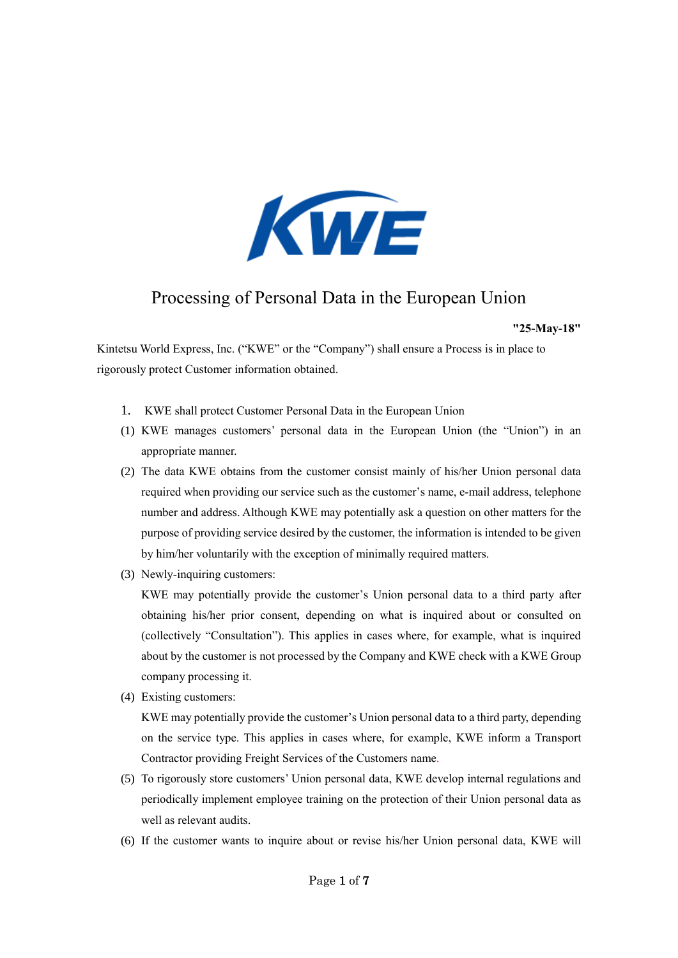

# Processing of Personal Data in the European Union

#### **"25-May-18"**

Kintetsu World Express, Inc. ("KWE" or the "Company") shall ensure a Process is in place to rigorously protect Customer information obtained.

- 1. KWE shall protect Customer Personal Data in the European Union
- (1) KWE manages customers' personal data in the European Union (the "Union") in an appropriate manner.
- (2) The data KWE obtains from the customer consist mainly of his/her Union personal data required when providing our service such as the customer's name, e-mail address, telephone number and address. Although KWE may potentially ask a question on other matters for the purpose of providing service desired by the customer, the information is intended to be given by him/her voluntarily with the exception of minimally required matters.
- (3) Newly-inquiring customers:

KWE may potentially provide the customer's Union personal data to a third party after obtaining his/her prior consent, depending on what is inquired about or consulted on (collectively "Consultation"). This applies in cases where, for example, what is inquired about by the customer is not processed by the Company and KWE check with a KWE Group company processing it.

(4) Existing customers:

KWE may potentially provide the customer's Union personal data to a third party, depending on the service type. This applies in cases where, for example, KWE inform a Transport Contractor providing Freight Services of the Customers name.

- (5) To rigorously store customers' Union personal data, KWE develop internal regulations and periodically implement employee training on the protection of their Union personal data as well as relevant audits.
- (6) If the customer wants to inquire about or revise his/her Union personal data, KWE will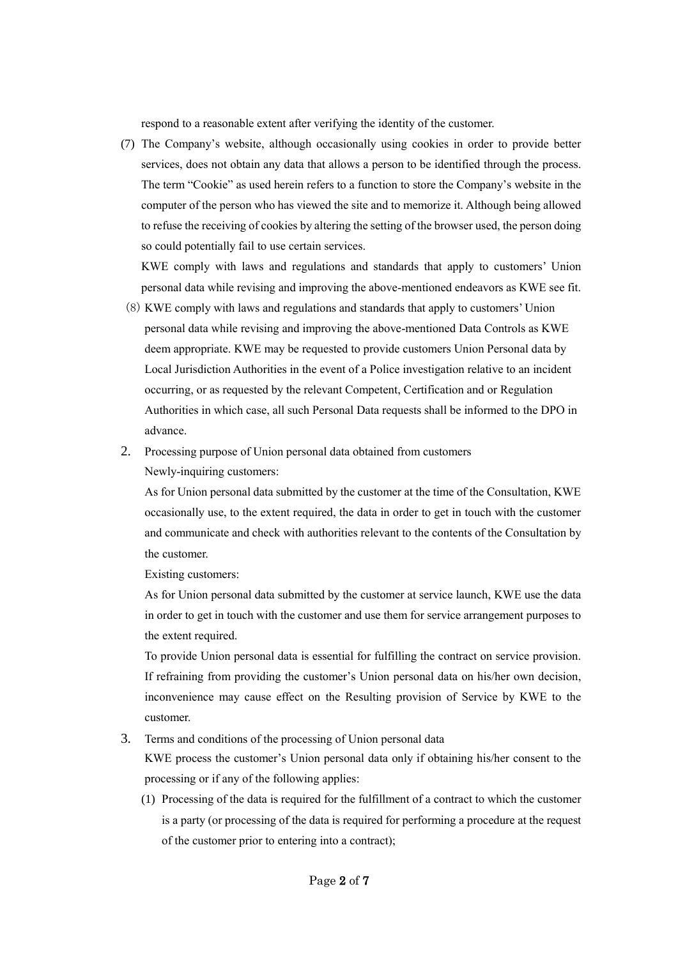respond to a reasonable extent after verifying the identity of the customer.

(7) The Company's website, although occasionally using cookies in order to provide better services, does not obtain any data that allows a person to be identified through the process. The term "Cookie" as used herein refers to a function to store the Company's website in the computer of the person who has viewed the site and to memorize it. Although being allowed to refuse the receiving of cookies by altering the setting of the browser used, the person doing so could potentially fail to use certain services.

KWE comply with laws and regulations and standards that apply to customers' Union personal data while revising and improving the above-mentioned endeavors as KWE see fit.

- (8) KWE comply with laws and regulations and standards that apply to customers' Union personal data while revising and improving the above-mentioned Data Controls as KWE deem appropriate. KWE may be requested to provide customers Union Personal data by Local Jurisdiction Authorities in the event of a Police investigation relative to an incident occurring, or as requested by the relevant Competent, Certification and or Regulation Authorities in which case, all such Personal Data requests shall be informed to the DPO in advance.
- 2. Processing purpose of Union personal data obtained from customers Newly-inquiring customers:

As for Union personal data submitted by the customer at the time of the Consultation, KWE occasionally use, to the extent required, the data in order to get in touch with the customer and communicate and check with authorities relevant to the contents of the Consultation by the customer.

Existing customers:

As for Union personal data submitted by the customer at service launch, KWE use the data in order to get in touch with the customer and use them for service arrangement purposes to the extent required.

To provide Union personal data is essential for fulfilling the contract on service provision. If refraining from providing the customer's Union personal data on his/her own decision, inconvenience may cause effect on the Resulting provision of Service by KWE to the customer.

3. Terms and conditions of the processing of Union personal data

KWE process the customer's Union personal data only if obtaining his/her consent to the processing or if any of the following applies:

(1) Processing of the data is required for the fulfillment of a contract to which the customer is a party (or processing of the data is required for performing a procedure at the request of the customer prior to entering into a contract);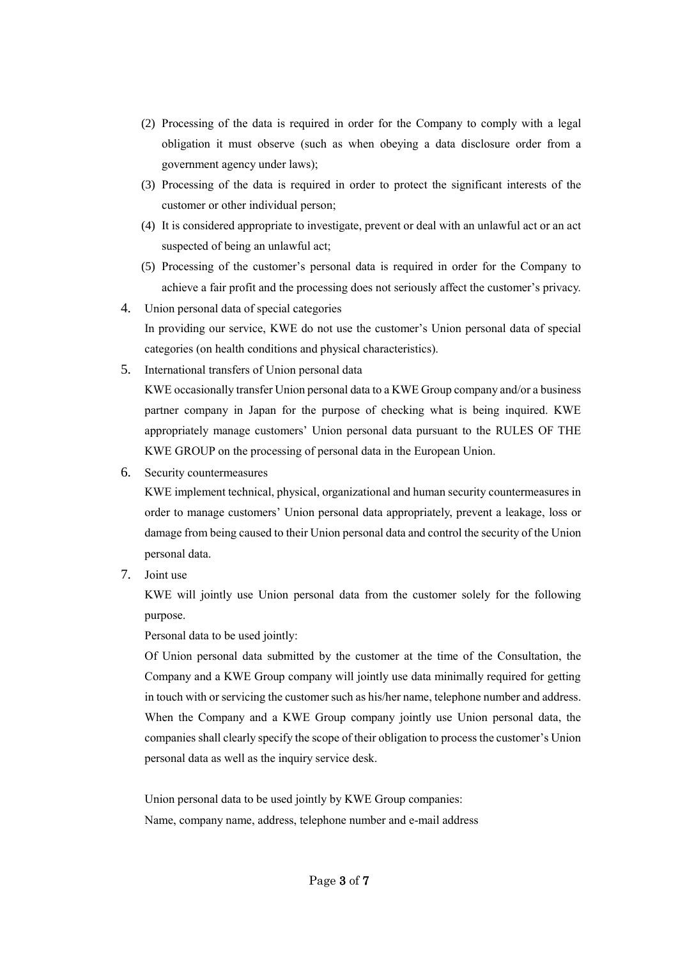- (2) Processing of the data is required in order for the Company to comply with a legal obligation it must observe (such as when obeying a data disclosure order from a government agency under laws);
- (3) Processing of the data is required in order to protect the significant interests of the customer or other individual person;
- (4) It is considered appropriate to investigate, prevent or deal with an unlawful act or an act suspected of being an unlawful act;
- (5) Processing of the customer's personal data is required in order for the Company to achieve a fair profit and the processing does not seriously affect the customer's privacy.
- 4. Union personal data of special categories In providing our service, KWE do not use the customer's Union personal data of special categories (on health conditions and physical characteristics).
- 5. International transfers of Union personal data

KWE occasionally transfer Union personal data to a KWE Group company and/or a business partner company in Japan for the purpose of checking what is being inquired. KWE appropriately manage customers' Union personal data pursuant to the RULES OF THE KWE GROUP on the processing of personal data in the European Union.

6. Security countermeasures

KWE implement technical, physical, organizational and human security countermeasures in order to manage customers' Union personal data appropriately, prevent a leakage, loss or damage from being caused to their Union personal data and control the security of the Union personal data.

7. Joint use

KWE will jointly use Union personal data from the customer solely for the following purpose.

Personal data to be used jointly:

Of Union personal data submitted by the customer at the time of the Consultation, the Company and a KWE Group company will jointly use data minimally required for getting in touch with or servicing the customer such as his/her name, telephone number and address. When the Company and a KWE Group company jointly use Union personal data, the companies shall clearly specify the scope of their obligation to process the customer's Union personal data as well as the inquiry service desk.

Union personal data to be used jointly by KWE Group companies: Name, company name, address, telephone number and e-mail address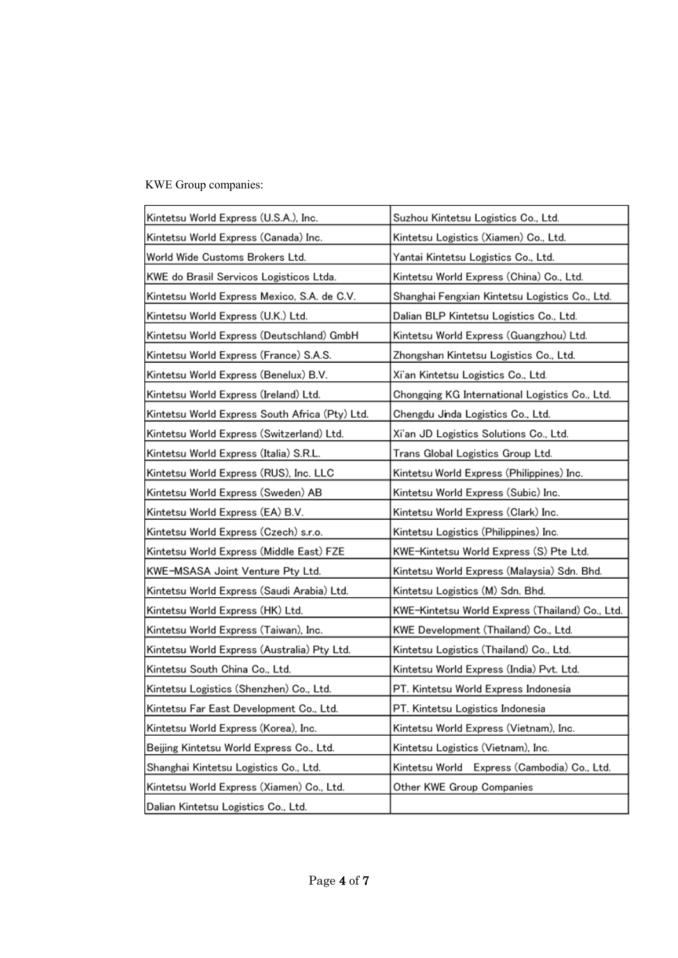## KWE Group companies:

| Kintetsu World Express (U.S.A.), Inc.          | Suzhou Kintetsu Logistics Co., Ltd.             |
|------------------------------------------------|-------------------------------------------------|
| Kintetsu World Express (Canada) Inc.           | Kintetsu Logistics (Xiamen) Co., Ltd.           |
| World Wide Customs Brokers Ltd.                | Yantai Kintetsu Logistics Co., Ltd.             |
| KWE do Brasil Servicos Logisticos Ltda.        | Kintetsu World Express (China) Co., Ltd.        |
| Kintetsu World Express Mexico, S.A. de C.V.    | Shanghai Fengxian Kintetsu Logistics Co., Ltd.  |
| Kintetsu World Express (U.K.) Ltd.             | Dalian BLP Kintetsu Logistics Co., Ltd.         |
| Kintetsu World Express (Deutschland) GmbH      | Kintetsu World Express (Guangzhou) Ltd.         |
| Kintetsu World Express (France) S.A.S.         | Zhongshan Kintetsu Logistics Co., Ltd.          |
| Kintetsu World Express (Benelux) B.V.          | Xi'an Kintetsu Logistics Co., Ltd.              |
| Kintetsu World Express (Ireland) Ltd.          | Chongqing KG International Logistics Co., Ltd.  |
| Kintetsu World Express South Africa (Pty) Ltd. | Chengdu Jinda Logistics Co., Ltd.               |
| Kintetsu World Express (Switzerland) Ltd.      | Xi'an JD Logistics Solutions Co., Ltd.          |
| Kintetsu World Express (Italia) S.R.L.         | Trans Global Logistics Group Ltd.               |
| Kintetsu World Express (RUS), Inc. LLC         | Kintetsu World Express (Philippines) Inc.       |
| Kintetsu World Express (Sweden) AB             | Kintetsu World Express (Subic) Inc.             |
| Kintetsu World Express (EA) B.V.               | Kintetsu World Express (Clark) Inc.             |
| Kintetsu World Express (Czech) s.r.o.          | Kintetsu Logistics (Philippines) Inc.           |
| Kintetsu World Express (Middle East) FZE       | KWE-Kintetsu World Express (S) Pte Ltd.         |
| KWE-MSASA Joint Venture Pty Ltd.               | Kintetsu World Express (Malaysia) Sdn. Bhd.     |
| Kintetsu World Express (Saudi Arabia) Ltd.     | Kintetsu Logistics (M) Sdn. Bhd.                |
| Kintetsu World Express (HK) Ltd.               | KWE-Kintetsu World Express (Thailand) Co., Ltd. |
| Kintetsu World Express (Taiwan), Inc.          | KWE Development (Thailand) Co., Ltd.            |
| Kintetsu World Express (Australia) Pty Ltd.    | Kintetsu Logistics (Thailand) Co., Ltd.         |
| Kintetsu South China Co., Ltd.                 | Kintetsu World Express (India) Pvt. Ltd.        |
| Kintetsu Logistics (Shenzhen) Co., Ltd.        | PT. Kintetsu World Express Indonesia            |
| Kintetsu Far East Development Co., Ltd.        | PT. Kintetsu Logistics Indonesia                |
| Kintetsu World Express (Korea), Inc.           | Kintetsu World Express (Vietnam), Inc.          |
| Beijing Kintetsu World Express Co., Ltd.       | Kintetsu Logistics (Vietnam), Inc.              |
| Shanghai Kintetsu Logistics Co., Ltd.          | Kintetsu World<br>Express (Cambodia) Co., Ltd.  |
| Kintetsu World Express (Xiamen) Co., Ltd.      | Other KWE Group Companies                       |
| Dalian Kintetsu Logistics Co., Ltd.            |                                                 |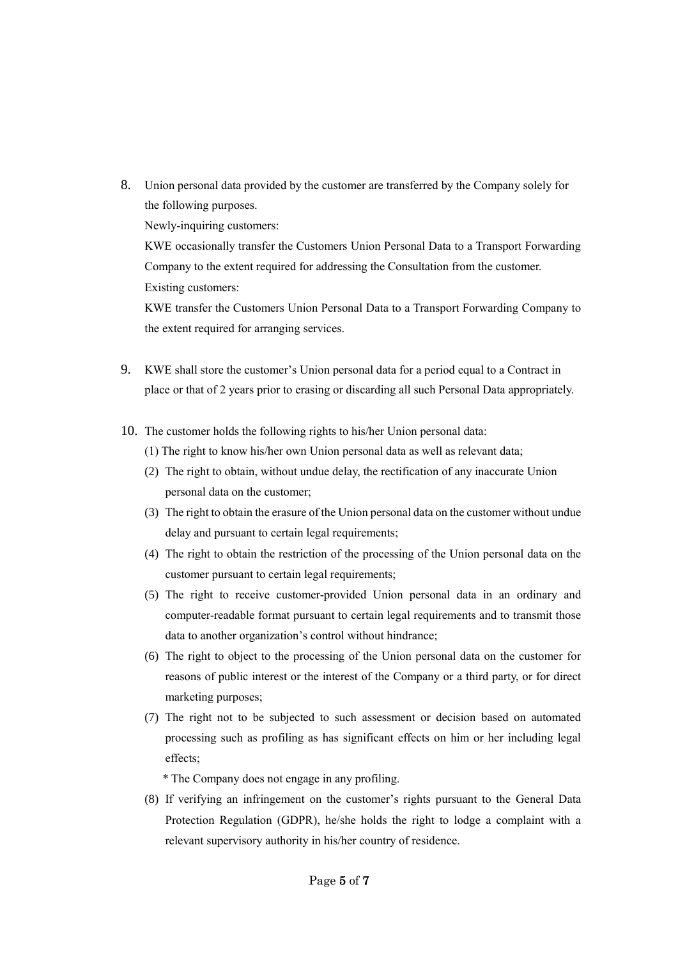- 8. Union personal data provided by the customer are transferred by the Company solely for the following purposes. Newly-inquiring customers: KWE occasionally transfer the Customers Union Personal Data to a Transport Forwarding Company to the extent required for addressing the Consultation from the customer. Existing customers: KWE transfer the Customers Union Personal Data to a Transport Forwarding Company to
- 9. KWE shall store the customer's Union personal data for a period equal to a Contract in place or that of 2 years prior to erasing or discarding all such Personal Data appropriately.
- 10. The customer holds the following rights to his/her Union personal data:

the extent required for arranging services.

- (1) The right to know his/her own Union personal data as well as relevant data;
- (2) The right to obtain, without undue delay, the rectification of any inaccurate Union personal data on the customer;
- (3) The right to obtain the erasure of the Union personal data on the customer without undue delay and pursuant to certain legal requirements;
- (4) The right to obtain the restriction of the processing of the Union personal data on the customer pursuant to certain legal requirements;
- (5) The right to receive customer-provided Union personal data in an ordinary and computer-readable format pursuant to certain legal requirements and to transmit those data to another organization's control without hindrance;
- (6) The right to object to the processing of the Union personal data on the customer for reasons of public interest or the interest of the Company or a third party, or for direct marketing purposes;
- (7) The right not to be subjected to such assessment or decision based on automated processing such as profiling as has significant effects on him or her including legal effects;

\* The Company does not engage in any profiling.

(8) If verifying an infringement on the customer's rights pursuant to the General Data Protection Regulation (GDPR), he/she holds the right to lodge a complaint with a relevant supervisory authority in his/her country of residence.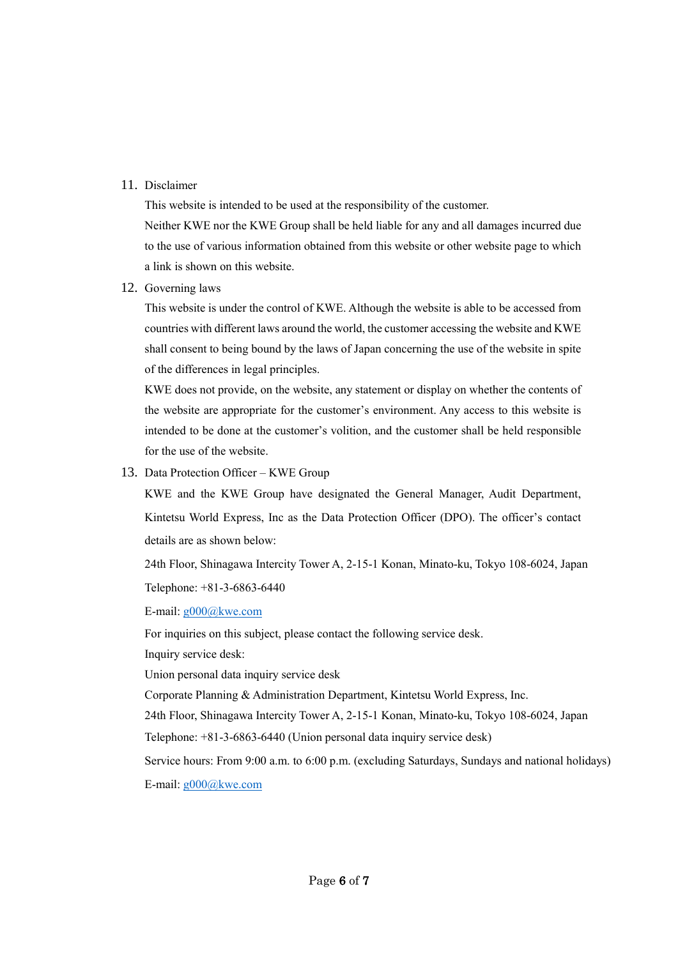### 11. Disclaimer

This website is intended to be used at the responsibility of the customer.

Neither KWE nor the KWE Group shall be held liable for any and all damages incurred due to the use of various information obtained from this website or other website page to which a link is shown on this website.

### 12. Governing laws

This website is under the control of KWE. Although the website is able to be accessed from countries with different laws around the world, the customer accessing the website and KWE shall consent to being bound by the laws of Japan concerning the use of the website in spite of the differences in legal principles.

KWE does not provide, on the website, any statement or display on whether the contents of the website are appropriate for the customer's environment. Any access to this website is intended to be done at the customer's volition, and the customer shall be held responsible for the use of the website.

13. Data Protection Officer – KWE Group

KWE and the KWE Group have designated the General Manager, Audit Department, Kintetsu World Express, Inc as the Data Protection Officer (DPO). The officer's contact details are as shown below:

24th Floor, Shinagawa Intercity Tower A, 2-15-1 Konan, Minato-ku, Tokyo 108-6024, Japan Telephone: +81-3-6863-6440

E-mail: [g000@kwe.com](mailto:g000@kwe.com)

For inquiries on this subject, please contact the following service desk.

Inquiry service desk:

Union personal data inquiry service desk

Corporate Planning & Administration Department, Kintetsu World Express, Inc.

24th Floor, Shinagawa Intercity Tower A, 2-15-1 Konan, Minato-ku, Tokyo 108-6024, Japan

Telephone: +81-3-6863-6440 (Union personal data inquiry service desk)

Service hours: From 9:00 a.m. to 6:00 p.m. (excluding Saturdays, Sundays and national holidays) E-mail: [g000@kwe.com](mailto:g000@kwe.com)